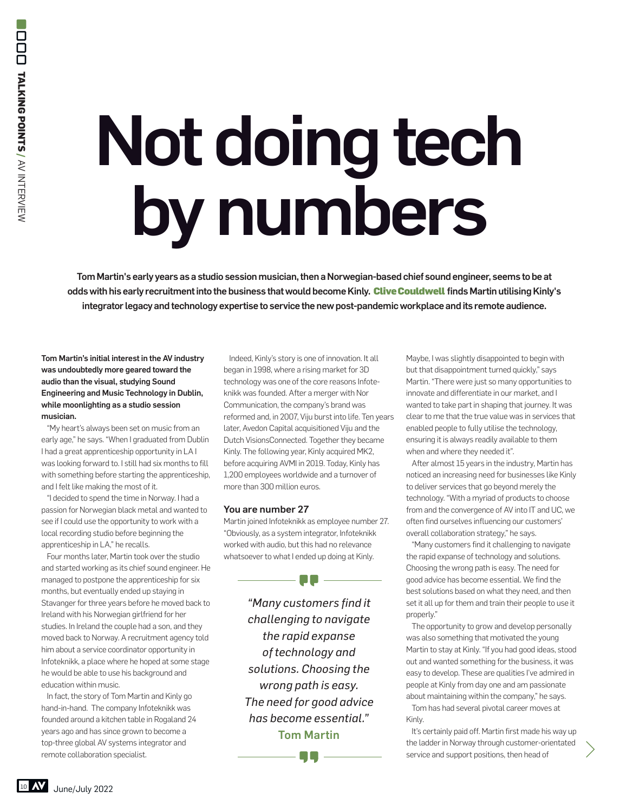## Not doing tech by numbers

Tom Martin's early years as a studio session musician, then a Norwegian-based chief sound engineer, seems to be at odds with his early recruitment into the business that would become Kinly. Clive Couldwell finds Martin utilising Kinly's integrator legacy and technology expertise to service the new post-pandemic workplace and its remote audience.

Tom Martin's initial interest in the AV industry was undoubtedly more geared toward the audio than the visual, studying Sound Engineering and Music Technology in Dublin, while moonlighting as a studio session musician.

"My heart's always been set on music from an early age," he says. "When I graduated from Dublin I had a great apprenticeship opportunity in LA I was looking forward to, I still had six months to fill with something before starting the apprenticeship, and I felt like making the most of it.

"I decided to spend the time in Norway. I had a passion for Norwegian black metal and wanted to see if I could use the opportunity to work with a local recording studio before beginning the apprenticeship in LA," he recalls.

Four months later, Martin took over the studio and started working as its chief sound engineer. He managed to postpone the apprenticeship for six months, but eventually ended up staying in Stavanger for three years before he moved back to Ireland with his Norwegian girlfriend for her studies. In Ireland the couple had a son, and they moved back to Norway. A recruitment agency told him about a service coordinator opportunity in Infoteknikk, a place where he hoped at some stage he would be able to use his background and education within music. **12 June/July 2022**<br> **10 June/July 2022**<br> **10 AV Integral Space Space Space Space Space Space Space Space Space Space Space Space Space Space Space Space Space Space Space Space Space Space Space Space Space Space Space Sp** 

In fact, the story of Tom Martin and Kinly go hand-in-hand. The company Infoteknikk was founded around a kitchen table in Rogaland 24 years ago and has since grown to become a top-three global AV systems integrator and remote collaboration specialist.

Indeed, Kinly's story is one of innovation. It all began in 1998, where a rising market for 3D technology was one of the core reasons Infoteknikk was founded. After a merger with Nor Communication, the company's brand was reformed and, in 2007, Viju burst into life. Ten years later, Avedon Capital acquisitioned Viju and the Dutch VisionsConnected. Together they became Kinly. The following year, Kinly acquired MK2, before acquiring AVMI in 2019. Today, Kinly has 1,200 employees worldwide and a turnover of more than 300 million euros.

## You are number 27

Martin joined Infoteknikk as employee number 27. "Obviously, as a system integrator, Infoteknikk worked with audio, but this had no relevance whatsoever to what I ended up doing at Kinly.

- PP ——

*"Many customers find it challenging to navigate the rapid expanse of technology and solutions. Choosing the wrong path is easy. The need for good advice has become essential."* Tom Martin

OO

Maybe, I was slightly disappointed to begin with but that disappointment turned quickly," says Martin. "There were just so many opportunities to innovate and differentiate in our market, and I wanted to take part in shaping that journey. It was clear to me that the true value was in services that enabled people to fully utilise the technology, ensuring it is always readily available to them when and where they needed it".

After almost 15 years in the industry, Martin has noticed an increasing need for businesses like Kinly to deliver services that go beyond merely the technology. "With a myriad of products to choose from and the convergence of AV into IT and UC, we often find ourselves influencing our customers' overall collaboration strategy," he says.

"Many customers find it challenging to navigate the rapid expanse of technology and solutions. Choosing the wrong path is easy. The need for good advice has become essential. We find the best solutions based on what they need, and then set it all up for them and train their people to use it properly."

The opportunity to grow and develop personally was also something that motivated the young Martin to stay at Kinly. "If you had good ideas, stood out and wanted something for the business, it was easy to develop. These are qualities I've admired in people at Kinly from day one and am passionate about maintaining within the company," he says.

Tom has had several pivotal career moves at Kinly.

It's certainly paid off. Martin first made his way up the ladder in Norway through customer-orientated service and support positions, then head of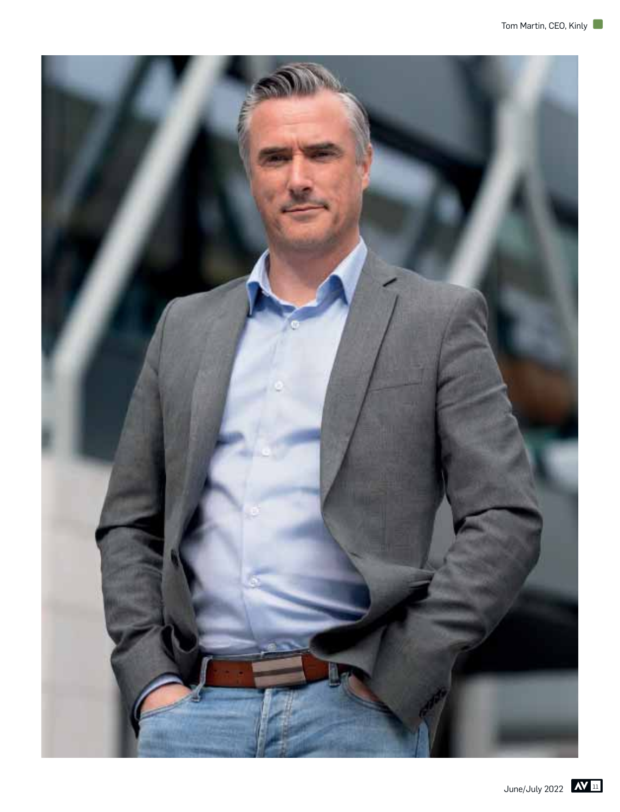